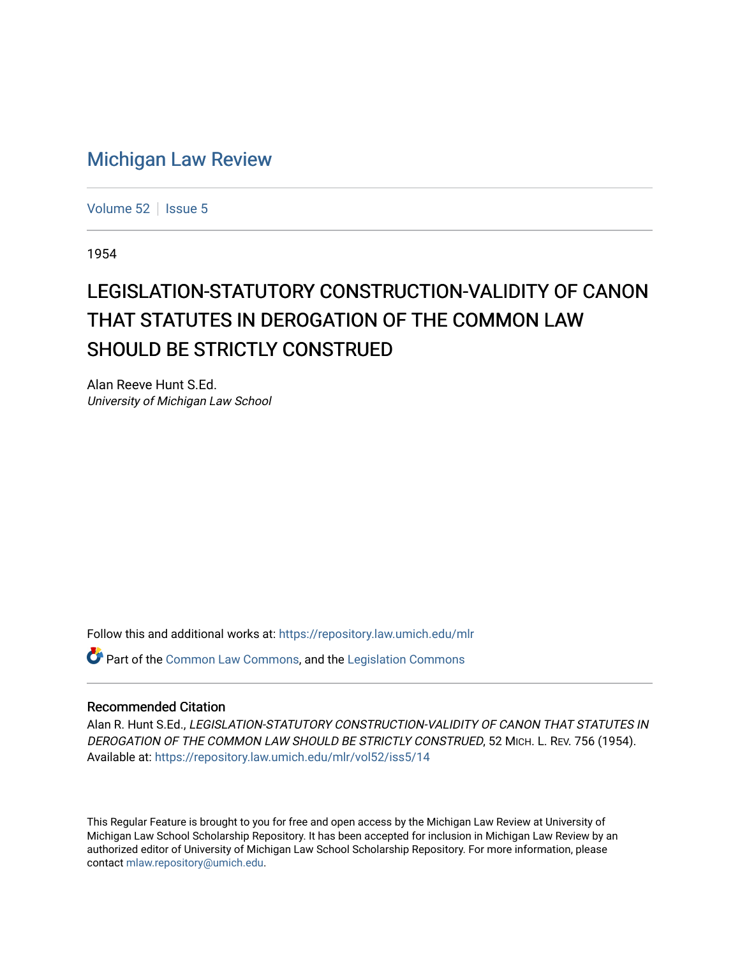## [Michigan Law Review](https://repository.law.umich.edu/mlr)

[Volume 52](https://repository.law.umich.edu/mlr/vol52) | [Issue 5](https://repository.law.umich.edu/mlr/vol52/iss5)

1954

## LEGISLATION-STATUTORY CONSTRUCTION-VALIDITY OF CANON THAT STATUTES IN DEROGATION OF THE COMMON LAW SHOULD BE STRICTLY CONSTRUED

Alan Reeve Hunt S.Ed. University of Michigan Law School

Follow this and additional works at: [https://repository.law.umich.edu/mlr](https://repository.law.umich.edu/mlr?utm_source=repository.law.umich.edu%2Fmlr%2Fvol52%2Fiss5%2F14&utm_medium=PDF&utm_campaign=PDFCoverPages) 

Part of the [Common Law Commons,](http://network.bepress.com/hgg/discipline/1120?utm_source=repository.law.umich.edu%2Fmlr%2Fvol52%2Fiss5%2F14&utm_medium=PDF&utm_campaign=PDFCoverPages) and the [Legislation Commons](http://network.bepress.com/hgg/discipline/859?utm_source=repository.law.umich.edu%2Fmlr%2Fvol52%2Fiss5%2F14&utm_medium=PDF&utm_campaign=PDFCoverPages) 

## Recommended Citation

Alan R. Hunt S.Ed., LEGISLATION-STATUTORY CONSTRUCTION-VALIDITY OF CANON THAT STATUTES IN DEROGATION OF THE COMMON LAW SHOULD BE STRICTLY CONSTRUED, 52 MICH. L. REV. 756 (1954). Available at: [https://repository.law.umich.edu/mlr/vol52/iss5/14](https://repository.law.umich.edu/mlr/vol52/iss5/14?utm_source=repository.law.umich.edu%2Fmlr%2Fvol52%2Fiss5%2F14&utm_medium=PDF&utm_campaign=PDFCoverPages) 

This Regular Feature is brought to you for free and open access by the Michigan Law Review at University of Michigan Law School Scholarship Repository. It has been accepted for inclusion in Michigan Law Review by an authorized editor of University of Michigan Law School Scholarship Repository. For more information, please contact [mlaw.repository@umich.edu](mailto:mlaw.repository@umich.edu).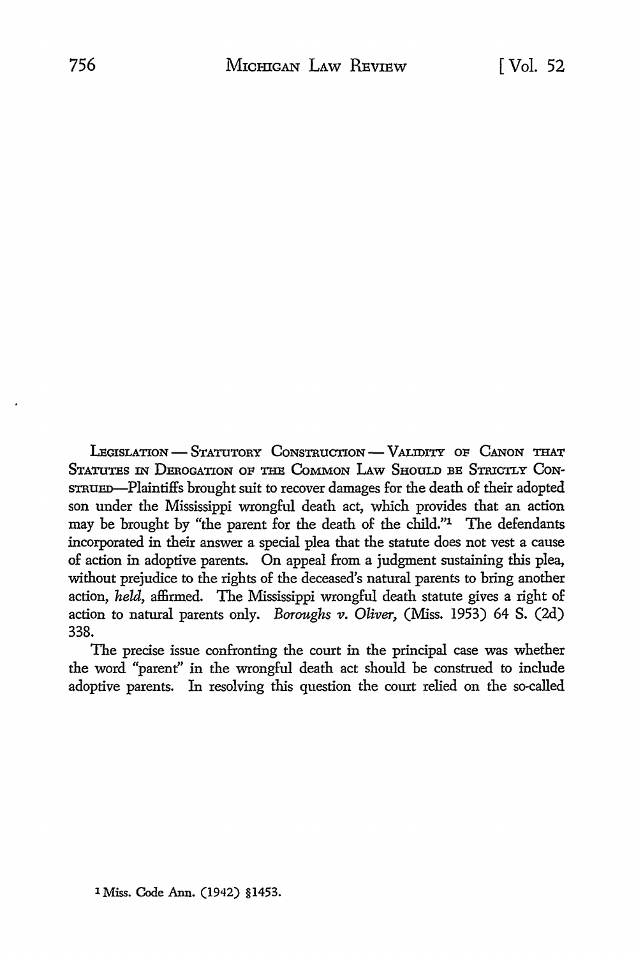LEGISLATION - STATUTORY CONSTRUCTION<sup>-</sup> VALIDITY OF CANON THAT STATUTES IN DEROGATION OF THE COMMON LAW SHOULD BE STRICTLY CONstrue Bolaintiffs brought suit to recover damages for the death of their adopted son under the Mississippi wrongful death act, which provides that an action may be brought by "the parent for the death of the child."1 The defendants incorporated in their answer a special plea that the statute does not vest a cause of action in adoptive parents. On appeal from a judgment sustaining this plea, without prejudice to the rights of the deceased's natural parents to bring another action, *held,* affirmed. The Mississippi wrongful death statute gives a right of action to natural parents only. *Boroughs v. Oliver*, (Miss. 1953) 64 S. (2d) 338.

The precise issue confronting the court in the principal case was whether the word "parent" in the wrongful death act should be construed to include adoptive parents. In resolving this question the court relied on the so-called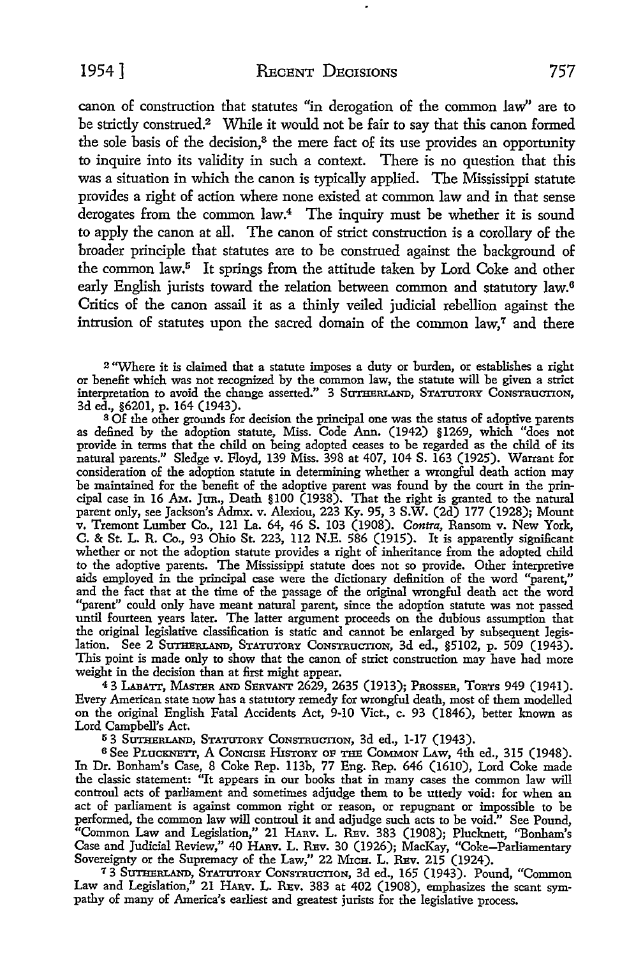canon of construction that statutes "in derogation of the common law'' are to be strictly construed.2 While it would not be fair to say that this canon formed the sole basis of the decision,<sup>3</sup> the mere fact of its use provides an opportunity to inquire into its validity in such a context. There is no question that this was a situation in which the canon is typically applied. The Mississippi statute provides a right of action where none existed at common law and in that sense derogates from the common law.4 The inquiry must be whether it is sound to apply the canon at all. The canon of strict construction is a corollary of the broader principle that statutes are to be construed against the background of the common law.<sup>5</sup> It springs from the attitude taken by Lord Coke and other early English jurists toward the relation between common and statutory law.<sup>6</sup> Critics of the canon assail it as a thinly veiled judicial rebellion against the intrusion of statutes upon the sacred domain of the common law,<sup>7</sup> and there

<sup>2</sup>''Where it is claimed that a statute imposes a duty or burden, or establishes a right or benefit which was not recognized by the common law, the statute will be given a strict interpretation to avoid the change asserted." 3 SUTHERLAND, STATUTORY CONSTRUCTION, 3d ed., §6201, p. 164 (1943).

<sup>3</sup> Of the other grounds for decision the principal one was the status of adoptive parents as defined by the adoption statute, Miss. Code Ann. (1942) §1269, which "does not provide in terms that the child on being adopted ceases to be regarded as the child of its natural parents." Sledge v. Floyd, 139 Miss. 398 at 407, 104 S. 163 (1925). Warrant for consideration of the adoption statute in determining whether a wrongful death action may be maintained for the benefit of the adoptive parent was found by the court in the principal case in 16 AM.. JUR., Death §100 (1938). That the right is granted to the natural parent only, see Jackson's Admx. v. Alexiou, 223 Ky. 95, 3 S.W. (2d) 177 (1928); Mount v. Tremont Lumber Co., 121 La. 64, 46 S. 103 (1908). *Contra,* Ransom v. New York, C. & St. L. R. Co., 93 Ohio St. 223, 112 N.E. 586 (1915). It is apparently significant whether or not the adoption statute provides a right of inheritance from the adopted child to the adoptive parents. The Mississippi statute does not so provide. Other interpretive aids employed in the principal case were the dictionary definition of the word "parent," and the fact that at the time of the passage of the original wrongful death act the word "parent" could only have meant natural parent, since the adoption statute was not passed until fourteen years later. The latter argument proceeds on the dubious assumption that the original legislative classification is static and cannot be enlarged by subsequent legislation. See 2 SUTHERLAND, STATUTORY CONSTRUCTION, 3d ed., §5102, p. 509 (1943). This point is made only to show that the canon of strict construction may have had more weight in the decision than at first might appear.

<sup>4</sup>3 WJlATT, MASTER AND SERVANT 2629, 2635 (1913); PROSSER, TORTS 949 (1941). Every American state now has a statutory remedy for wrongful death, most of them modelled on the original English Fatal Accidents Act, 9-10 Viet., c. 93 (1846), better known as Lord Campbell's Act.

<sup>5</sup> 3 SUTHERLAND, STATUTORY CONSTRUCTION, 3d ed., 1-17 (1943).

<sup>6</sup> See PLuckNETT, A CONCISE HISTORY OF THE COMMON LAW, 4th ed., 315 (1948). In Dr. Bonham's Case, 8 Coke Rep. 113b, 77 Eng. Rep. 646 (1610), Lord Coke made the classic statement: "It appears in our books that in many cases the common law will controul acts of parliament and sometimes adjudge them to be utterly void: for when an act of parliament is against common right or reason, or repugnant or impossible to be performed, the common law will controul it and adjudge such acts to be void." See Pound, "Common Law and Legislation," 21 Harv. L. Rev. 383 (1908); Plucknett, "Bonham's Case and Judicial Review," 40 HARV. L. REV. 30 (1926); MacKay, "Coke-Parliamentary Sovereignty or the Supremacy of the Law," 22 MrcH. L. REv. 215 (1924).

7 3 SUTBERLAND, STATUTORY CoNsTRUCTION, 3d ed., 165 (1943). Pound, "Common Law and Legislation," 21 fuav. L. REv. 383 at 402 (1908), emphasizes the scant sympathy of many of America's earliest and greatest jurists for the legislative process.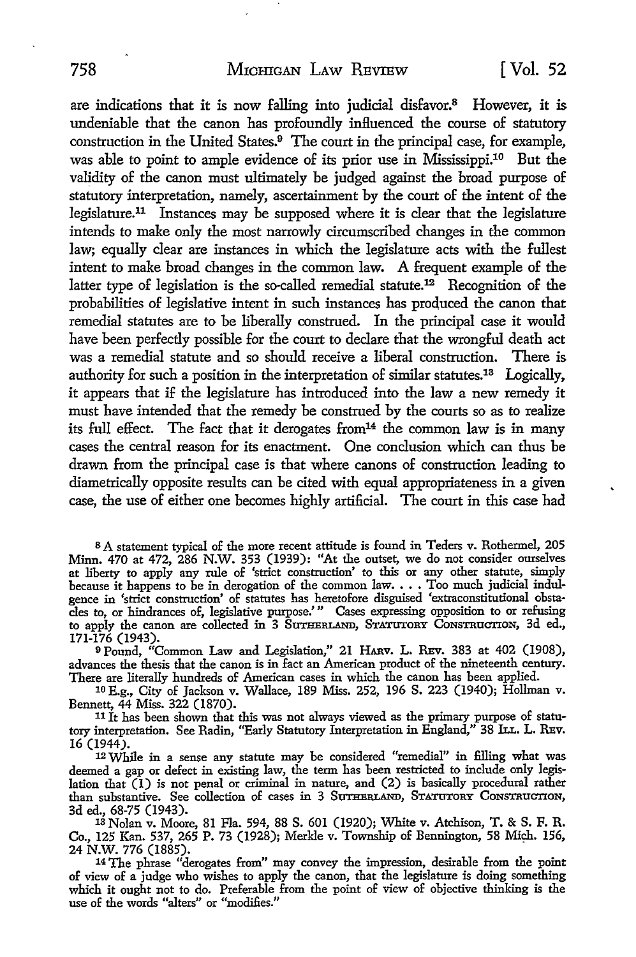are indications that it is now falling into judicial disfavor.8 However, it is undeniable that the canon has profoundly influenced the course of statutory construction in the United States.9 The court in the principal case, for example, was able to point to ample evidence of its prior use in Mississippi.10 But the validity of the canon must ultimately be judged against the broad purpose of statutory interpretation, namely, ascertainment by the court of the intent of the legislature.<sup>11</sup> Instances may be supposed where it is clear that the legislature intends to make only the most narrowly circumscribed changes in the common law; equally clear are instances in which the legislature acts with the fullest intent to make broad changes in the common law. A frequent example of the latter type of legislation is the so-called remedial statute.12 Recognition of the probabilities of legislative intent in such instances has produced the canon that remedial statutes are to be liberally construed. In the principal case it would have been perfectly possible for the court to declare that the wrongful death act was a remedial statute and so should receive a liberal construction. There is authority for such a position in the interpretation of similar statutes.13 Logically, it appears that if the legislature has introduced into the law a new remedy it must have intended that the remedy be construed by the courts so as to realize its full effect. The fact that it derogates from  $14$  the common law is in many cases the central reason for its enactment. One conclusion which can thus be drawn from the principal case is that where canons of construction leading to diametrically opposite results can be cited with equal appropriateness in a given case, the use of either one becomes highly artificial. The court in this case had

s A statement typical of the more recent attitude is found in Teders v. Rothermel, 205 Minn. 470 at 472, 286 N.W. 353 (1939): "At the outset, we do not consider ourselves at liberty to apply any rule of 'strict construction' to this or any other statute, simply because it happens to be in derogation of the common law.  $\ldots$  Too much judicial indulgence in 'strict construction' of statutes has heretofore disguised 'extraconstitutional obstacles to, or hindrances of, legislative purpose.' " Cases expressing opposition to or refusing to apply the canon are collected in 3 SUTHERLAND, STATUTORY CONSTRUCTION, 3d ed., 171-176 (1943).

<sup>9</sup>Pound, "Common Law and Legislation," 21 HARv. L. REv. 383 at 402 (1908), advances the thesis that the canon is in fact an American product of the nineteenth century. There are literally hundreds of American cases in which the canon has been applied.

10 E.g., City of Jackson v. Wallace, 189 Miss. 252, 196 S. 223 (1940); Hollman v. Bennett, 44 Miss. 322 (1870).

 $11$  It has been shown that this was not always viewed as the primary purpose of statutory interpretation. See Radin, "Early Statutory Interpretation in England," 38 ILL. L. REV. 16 (1944).

12 While in a sense any statute may be considered "remedial" in filling what was deemed a gap or defect in existing law, the term has been restricted to include only legislation that  $(1)$  is not penal or criminal in nature, and  $(2)$  is basically procedural rather than substantive. See collection of cases in 3 SUTHERLAND, STATUTORY CONSTRUCTION, 3d ed., 68-75 (1943).

3d ed., 68-75 (1943). 13 Nolan v. Moore, 81 Fla. 594, 88 S. 601 (1920); White v. Atchison, T. & S. F. R. Co., 125 Kan. 537, 265 P. 73 (1928); Merkle v. Township of Bennington, 58 Mich. 156, 24 N.W. 776 (1885).

<sup>14</sup>The phrase "derogates from" may convey the impression, desirable from the point of view of a judge who wishes to apply the canon, that the legislature is doing something which it ought not to do. Preferable from the point of view of objective thinking is the use of the words "alters" or "modifies.''